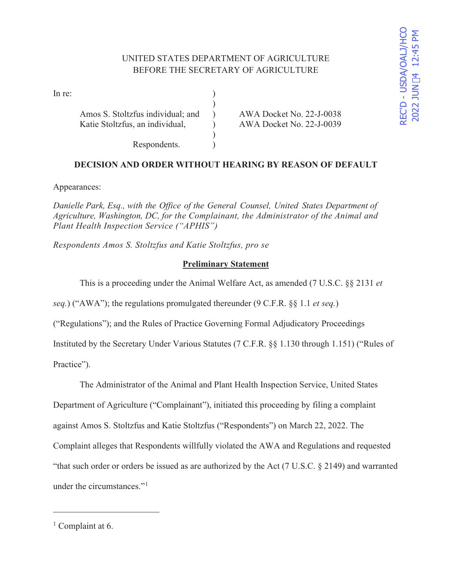# UNITED STATES DEPARTMENT OF AGRICULTURE BEFORE THE SECRETARY OF AGRICULTURE

In re:  $\qquad \qquad$  )

 $)$ Amos S. Stoltzfus individual; and ) AWA Docket No. 22-J-0038 Katie Stoltzfus, an individual,  $\overline{)}$  AWA Docket No. 22-J-0039

#### Respondents. )

## **DECISION AND ORDER WITHOUT HEARING BY REASON OF DEFAULT**

Appearances:

*Danielle Park, Esq., with the Office of the General Counsel, United States Department of Agriculture, Washington, DC, for the Complainant, the Administrator of the Animal and Plant Health Inspection Service ("APHIS")* 

 $\mathcal{L}$ 

*Respondents Amos S. Stoltzfus and Katie Stoltzfus, pro se* 

### **Preliminary Statement**

This is a proceeding under the Animal Welfare Act, as amended (7 U.S.C. §§ 2131 *et* 

*seq.*) ("AWA"); the regulations promulgated thereunder (9 C.F.R. §§ 1.1 *et seq.*)

("Regulations"); and the Rules of Practice Governing Formal Adjudicatory Proceedings

Instituted by the Secretary Under Various Statutes (7 C.F.R. §§ 1.130 through 1.151) ("Rules of

Practice").

 The Administrator of the Animal and Plant Health Inspection Service, United States Department of Agriculture ("Complainant"), initiated this proceeding by filing a complaint against Amos S. Stoltzfus and Katie Stoltzfus ("Respondents") on March 22, 2022. The Complaint alleges that Respondents willfully violated the AWA and Regulations and requested

"that such order or orders be issued as are authorized by the Act (7 U.S.C. § 2149) and warranted under the circumstances."<sup>1</sup>

<sup>&</sup>lt;sup>1</sup> Complaint at 6.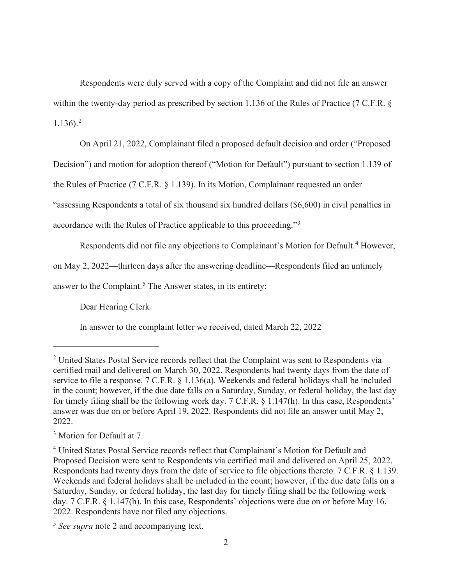Respondents were duly served with a copy of the Complaint and did not file an answer within the twenty-day period as prescribed by section 1.136 of the Rules of Practice (7 C.F.R. §  $1.136$ ).<sup>2</sup>

On April 21, 2022, Complainant filed a proposed default decision and order ("Proposed

Decision") and motion for adoption thereof ("Motion for Default") pursuant to section 1.139 of

the Rules of Practice (7 C.F.R. § 1.139). In its Motion, Complainant requested an order

"assessing Respondents a total of six thousand six hundred dollars (\$6,600) in civil penalties in

accordance with the Rules of Practice applicable to this proceeding."<sup>3</sup>

Respondents did not file any objections to Complainant's Motion for Default.<sup>4</sup> However,

on May 2, 2022—thirteen days after the answering deadline—Respondents filed an untimely

answer to the Complaint.<sup>5</sup> The Answer states, in its entirety:

Dear Hearing Clerk

In answer to the complaint letter we received, dated March 22, 2022

<sup>&</sup>lt;sup>2</sup> United States Postal Service records reflect that the Complaint was sent to Respondents via certified mail and delivered on March 30, 2022. Respondents had twenty days from the date of service to file a response. 7 C.F.R. § 1.136(a). Weekends and federal holidays shall be included in the count; however, if the due date falls on a Saturday, Sunday, or federal holiday, the last day for timely filing shall be the following work day. 7 C.F.R. § 1.147(h). In this case, Respondents' answer was due on or before April 19, 2022. Respondents did not file an answer until May 2, 2022.

<sup>&</sup>lt;sup>3</sup> Motion for Default at 7.

<sup>&</sup>lt;sup>4</sup> United States Postal Service records reflect that Complainant's Motion for Default and Proposed Decision were sent to Respondents via certified mail and delivered on April 25, 2022. Respondents had twenty days from the date of service to file objections thereto. 7 C.F.R. § 1.139. Weekends and federal holidays shall be included in the count; however, if the due date falls on a Saturday, Sunday, or federal holiday, the last day for timely filing shall be the following work day. 7 C.F.R. § 1.147(h). In this case, Respondents' objections were due on or before May 16, 2022. Respondents have not filed any objections.

<sup>5</sup> *See supra* note 2 and accompanying text.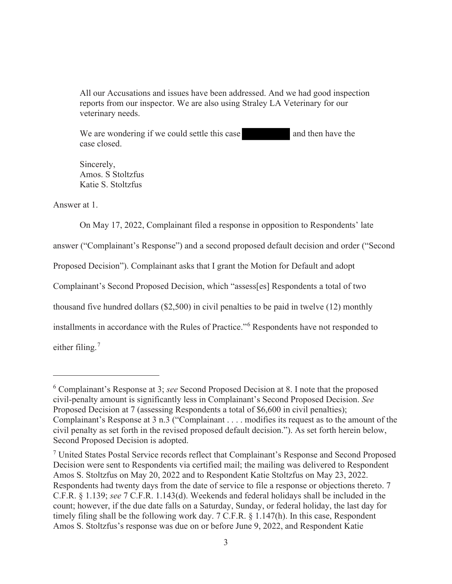All our Accusations and issues have been addressed. And we had good inspection reports from our inspector. We are also using Straley LA Veterinary for our veterinary needs.

We are wondering if we could settle this case and then have the case closed.

Sincerely, Amos. S Stoltzfus Katie S. Stoltzfus

Answer at 1.

 On May 17, 2022, Complainant filed a response in opposition to Respondents' late answer ("Complainant's Response") and a second proposed default decision and order ("Second Proposed Decision"). Complainant asks that I grant the Motion for Default and adopt Complainant's Second Proposed Decision, which "assess[es] Respondents a total of two thousand five hundred dollars (\$2,500) in civil penalties to be paid in twelve (12) monthly installments in accordance with the Rules of Practice."<sup>6</sup> Respondents have not responded to either filing.<sup>7</sup>

<sup>6</sup> Complainant's Response at 3; *see* Second Proposed Decision at 8. I note that the proposed civil-penalty amount is significantly less in Complainant's Second Proposed Decision. *See*  Proposed Decision at 7 (assessing Respondents a total of \$6,600 in civil penalties); Complainant's Response at 3 n.3 ("Complainant . . . . modifies its request as to the amount of the civil penalty as set forth in the revised proposed default decision."). As set forth herein below, Second Proposed Decision is adopted.

<sup>&</sup>lt;sup>7</sup> United States Postal Service records reflect that Complainant's Response and Second Proposed Decision were sent to Respondents via certified mail; the mailing was delivered to Respondent Amos S. Stoltzfus on May 20, 2022 and to Respondent Katie Stoltzfus on May 23, 2022. Respondents had twenty days from the date of service to file a response or objections thereto. 7 C.F.R. § 1.139; *see* 7 C.F.R. 1.143(d). Weekends and federal holidays shall be included in the count; however, if the due date falls on a Saturday, Sunday, or federal holiday, the last day for timely filing shall be the following work day. 7 C.F.R. § 1.147(h). In this case, Respondent Amos S. Stoltzfus's response was due on or before June 9, 2022, and Respondent Katie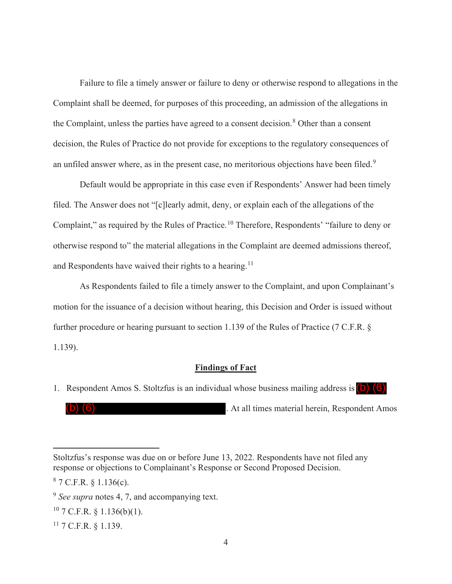Failure to file a timely answer or failure to deny or otherwise respond to allegations in the Complaint shall be deemed, for purposes of this proceeding, an admission of the allegations in the Complaint, unless the parties have agreed to a consent decision.<sup>8</sup> Other than a consent decision, the Rules of Practice do not provide for exceptions to the regulatory consequences of an unfiled answer where, as in the present case, no meritorious objections have been filed.<sup>9</sup>

 Default would be appropriate in this case even if Respondents' Answer had been timely filed. The Answer does not "[c]learly admit, deny, or explain each of the allegations of the Complaint," as required by the Rules of Practice.<sup>10</sup> Therefore, Respondents' "failure to deny or otherwise respond to" the material allegations in the Complaint are deemed admissions thereof, and Respondents have waived their rights to a hearing.<sup>11</sup>

 As Respondents failed to file a timely answer to the Complaint, and upon Complainant's motion for the issuance of a decision without hearing, this Decision and Order is issued without further procedure or hearing pursuant to section 1.139 of the Rules of Practice (7 C.F.R. § 1.139).

#### **Findings of Fact**

. At all times material herein, Respondent Amos

(b) (6)

<sup>1.</sup> Respondent Amos S. Stoltzfus is an individual whose business mailing address is  $\left( b \right)$   $\left( 6 \right)$ 

Stoltzfus's response was due on or before June 13, 2022. Respondents have not filed any response or objections to Complainant's Response or Second Proposed Decision.

 $87$  C.F.R. § 1.136(c).

<sup>9</sup> *See supra* notes 4, 7, and accompanying text.

 $10$  7 C.F.R. § 1.136(b)(1).

<sup>11 7</sup> C.F.R. § 1.139.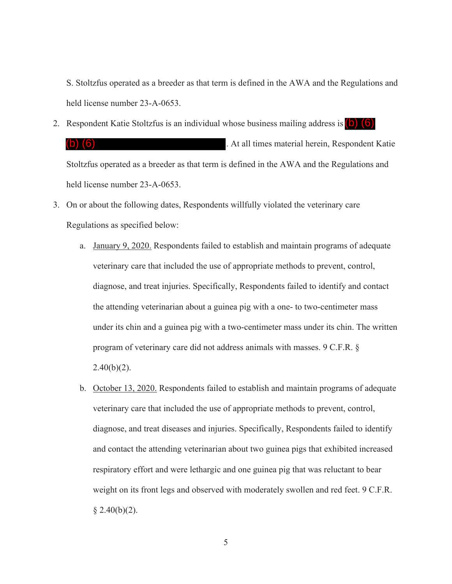S. Stoltzfus operated as a breeder as that term is defined in the AWA and the Regulations and held license number 23-A-0653.

- 2. Respondent Katie Stoltzfus is an individual whose business mailing address is (b) (6) . At all times material herein, Respondent Katie Stoltzfus operated as a breeder as that term is defined in the AWA and the Regulations and held license number 23-A-0653. (b) (6)
- 3. On or about the following dates, Respondents willfully violated the veterinary care Regulations as specified below:
	- a. January 9, 2020. Respondents failed to establish and maintain programs of adequate veterinary care that included the use of appropriate methods to prevent, control, diagnose, and treat injuries. Specifically, Respondents failed to identify and contact the attending veterinarian about a guinea pig with a one- to two-centimeter mass under its chin and a guinea pig with a two-centimeter mass under its chin. The written program of veterinary care did not address animals with masses. 9 C.F.R. §  $2.40(b)(2)$ .
	- b. October 13, 2020. Respondents failed to establish and maintain programs of adequate veterinary care that included the use of appropriate methods to prevent, control, diagnose, and treat diseases and injuries. Specifically, Respondents failed to identify and contact the attending veterinarian about two guinea pigs that exhibited increased respiratory effort and were lethargic and one guinea pig that was reluctant to bear weight on its front legs and observed with moderately swollen and red feet. 9 C.F.R.  $§$  2.40(b)(2).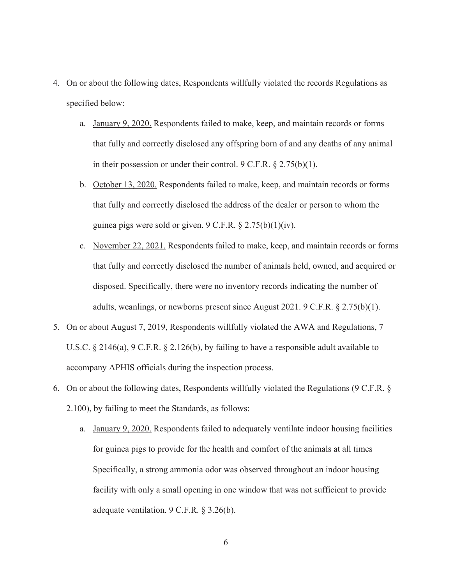- 4. On or about the following dates, Respondents willfully violated the records Regulations as specified below:
	- a. January 9, 2020. Respondents failed to make, keep, and maintain records or forms that fully and correctly disclosed any offspring born of and any deaths of any animal in their possession or under their control. 9 C.F.R. § 2.75(b)(1).
	- b. October 13, 2020. Respondents failed to make, keep, and maintain records or forms that fully and correctly disclosed the address of the dealer or person to whom the guinea pigs were sold or given. 9 C.F.R. § 2.75(b)(1)(iv).
	- c. November 22, 2021. Respondents failed to make, keep, and maintain records or forms that fully and correctly disclosed the number of animals held, owned, and acquired or disposed. Specifically, there were no inventory records indicating the number of adults, weanlings, or newborns present since August 2021. 9 C.F.R.  $\S$  2.75(b)(1).
- 5. On or about August 7, 2019, Respondents willfully violated the AWA and Regulations, 7 U.S.C. § 2146(a), 9 C.F.R. § 2.126(b), by failing to have a responsible adult available to accompany APHIS officials during the inspection process.
- 6. On or about the following dates, Respondents willfully violated the Regulations (9 C.F.R. § 2.100), by failing to meet the Standards, as follows:
	- a. January 9, 2020. Respondents failed to adequately ventilate indoor housing facilities for guinea pigs to provide for the health and comfort of the animals at all times Specifically, a strong ammonia odor was observed throughout an indoor housing facility with only a small opening in one window that was not sufficient to provide adequate ventilation. 9 C.F.R. § 3.26(b).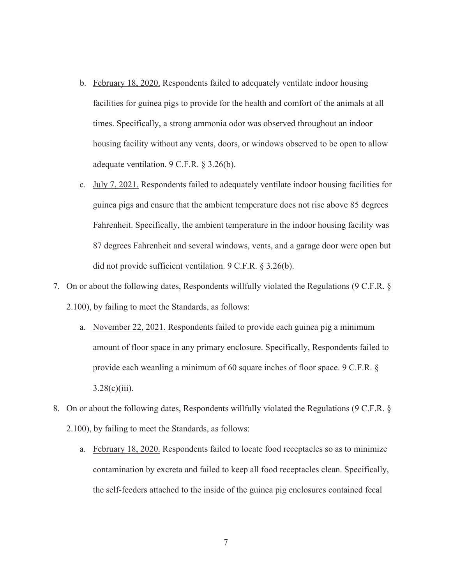- b. February 18, 2020. Respondents failed to adequately ventilate indoor housing facilities for guinea pigs to provide for the health and comfort of the animals at all times. Specifically, a strong ammonia odor was observed throughout an indoor housing facility without any vents, doors, or windows observed to be open to allow adequate ventilation. 9 C.F.R. § 3.26(b).
- c. July 7, 2021. Respondents failed to adequately ventilate indoor housing facilities for guinea pigs and ensure that the ambient temperature does not rise above 85 degrees Fahrenheit. Specifically, the ambient temperature in the indoor housing facility was 87 degrees Fahrenheit and several windows, vents, and a garage door were open but did not provide sufficient ventilation. 9 C.F.R. § 3.26(b).
- 7. On or about the following dates, Respondents willfully violated the Regulations (9 C.F.R. § 2.100), by failing to meet the Standards, as follows:
	- a. November 22, 2021. Respondents failed to provide each guinea pig a minimum amount of floor space in any primary enclosure. Specifically, Respondents failed to provide each weanling a minimum of 60 square inches of floor space. 9 C.F.R. §  $3.28(c)(iii)$ .
- 8. On or about the following dates, Respondents willfully violated the Regulations (9 C.F.R. § 2.100), by failing to meet the Standards, as follows:
	- a. February 18, 2020. Respondents failed to locate food receptacles so as to minimize contamination by excreta and failed to keep all food receptacles clean. Specifically, the self-feeders attached to the inside of the guinea pig enclosures contained fecal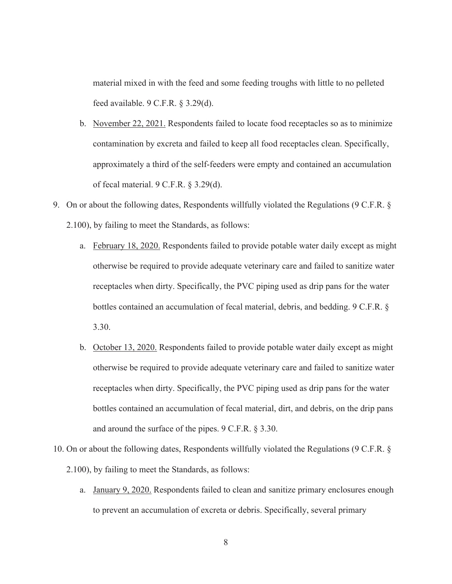material mixed in with the feed and some feeding troughs with little to no pelleted feed available. 9 C.F.R. § 3.29(d).

- b. November 22, 2021. Respondents failed to locate food receptacles so as to minimize contamination by excreta and failed to keep all food receptacles clean. Specifically, approximately a third of the self-feeders were empty and contained an accumulation of fecal material. 9 C.F.R. § 3.29(d).
- 9. On or about the following dates, Respondents willfully violated the Regulations (9 C.F.R. § 2.100), by failing to meet the Standards, as follows:
	- a. February 18, 2020. Respondents failed to provide potable water daily except as might otherwise be required to provide adequate veterinary care and failed to sanitize water receptacles when dirty. Specifically, the PVC piping used as drip pans for the water bottles contained an accumulation of fecal material, debris, and bedding. 9 C.F.R. § 3.30.
	- b. October 13, 2020. Respondents failed to provide potable water daily except as might otherwise be required to provide adequate veterinary care and failed to sanitize water receptacles when dirty. Specifically, the PVC piping used as drip pans for the water bottles contained an accumulation of fecal material, dirt, and debris, on the drip pans and around the surface of the pipes. 9 C.F.R. § 3.30.
- 10. On or about the following dates, Respondents willfully violated the Regulations (9 C.F.R. § 2.100), by failing to meet the Standards, as follows:
	- a. January 9, 2020. Respondents failed to clean and sanitize primary enclosures enough to prevent an accumulation of excreta or debris. Specifically, several primary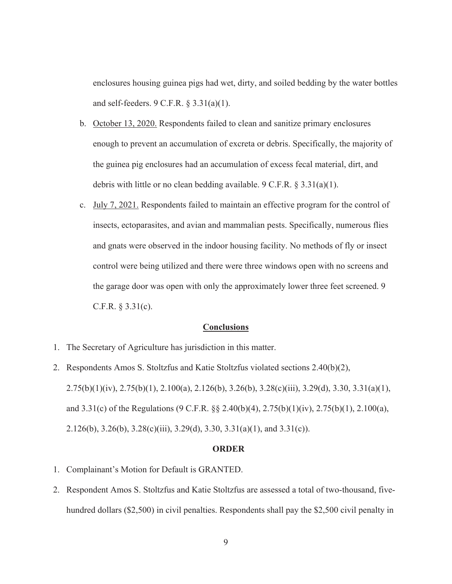enclosures housing guinea pigs had wet, dirty, and soiled bedding by the water bottles and self-feeders. 9 C.F.R. § 3.31(a)(1).

- b. October 13, 2020. Respondents failed to clean and sanitize primary enclosures enough to prevent an accumulation of excreta or debris. Specifically, the majority of the guinea pig enclosures had an accumulation of excess fecal material, dirt, and debris with little or no clean bedding available. 9 C.F.R.  $\S 3.31(a)(1)$ .
- c. July 7, 2021. Respondents failed to maintain an effective program for the control of insects, ectoparasites, and avian and mammalian pests. Specifically, numerous flies and gnats were observed in the indoor housing facility. No methods of fly or insect control were being utilized and there were three windows open with no screens and the garage door was open with only the approximately lower three feet screened. 9 C.F.R. § 3.31(c).

#### **Conclusions**

- 1. The Secretary of Agriculture has jurisdiction in this matter.
- 2. Respondents Amos S. Stoltzfus and Katie Stoltzfus violated sections 2.40(b)(2), 2.75(b)(1)(iv), 2.75(b)(1), 2.100(a), 2.126(b), 3.26(b), 3.28(c)(iii), 3.29(d), 3.30, 3.31(a)(1), and 3.31(c) of the Regulations (9 C.F.R. §§ 2.40(b)(4), 2.75(b)(1)(iv), 2.75(b)(1), 2.100(a), 2.126(b), 3.26(b), 3.28(c)(iii), 3.29(d), 3.30, 3.31(a)(1), and 3.31(c)).

#### **ORDER**

- 1. Complainant's Motion for Default is GRANTED.
- 2. Respondent Amos S. Stoltzfus and Katie Stoltzfus are assessed a total of two-thousand, fivehundred dollars (\$2,500) in civil penalties. Respondents shall pay the \$2,500 civil penalty in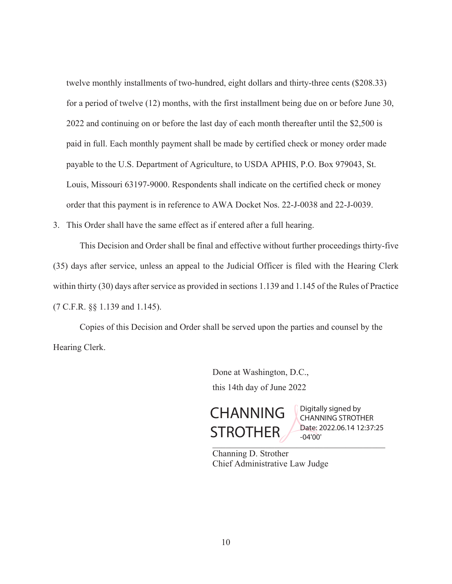twelve monthly installments of two-hundred, eight dollars and thirty-three cents (\$208.33) for a period of twelve (12) months, with the first installment being due on or before June 30, 2022 and continuing on or before the last day of each month thereafter until the \$2,500 is paid in full. Each monthly payment shall be made by certified check or money order made payable to the U.S. Department of Agriculture, to USDA APHIS, P.O. Box 979043, St. Louis, Missouri 63197-9000. Respondents shall indicate on the certified check or money order that this payment is in reference to AWA Docket Nos. 22-J-0038 and 22-J-0039.

3. This Order shall have the same effect as if entered after a full hearing.

 This Decision and Order shall be final and effective without further proceedings thirty-five (35) days after service, unless an appeal to the Judicial Officer is filed with the Hearing Clerk within thirty (30) days after service as provided in sections 1.139 and 1.145 of the Rules of Practice (7 C.F.R. §§ 1.139 and 1.145).

Copies of this Decision and Order shall be served upon the parties and counsel by the Hearing Clerk.

> Done at Washington, D.C., this 14th day of June 2022

 $\overline{U}$  and  $\overline{U}$  and  $\overline{U}$ **CHANNING** STROTHER

Digitally signed by CHANNING STROTHER Date: 2022.06.14 12:37:25 -04'00'

 Channing D. Strother Chief Administrative Law Judge